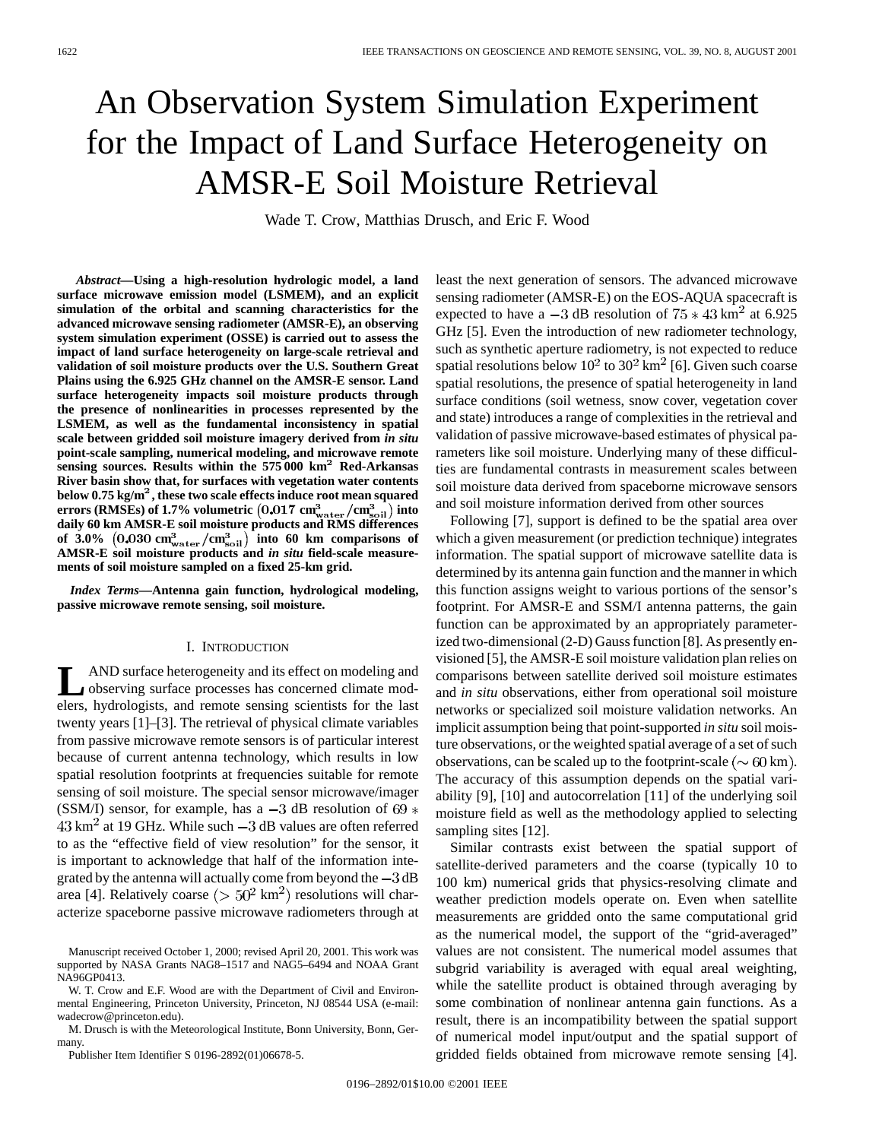# An Observation System Simulation Experiment for the Impact of Land Surface Heterogeneity on AMSR-E Soil Moisture Retrieval

Wade T. Crow, Matthias Drusch, and Eric F. Wood

*Abstract—***Using a high-resolution hydrologic model, a land surface microwave emission model (LSMEM), and an explicit simulation of the orbital and scanning characteristics for the advanced microwave sensing radiometer (AMSR-E), an observing system simulation experiment (OSSE) is carried out to assess the impact of land surface heterogeneity on large-scale retrieval and validation of soil moisture products over the U.S. Southern Great Plains using the 6.925 GHz channel on the AMSR-E sensor. Land surface heterogeneity impacts soil moisture products through the presence of nonlinearities in processes represented by the LSMEM, as well as the fundamental inconsistency in spatial scale between gridded soil moisture imagery derived from** *in situ* **point-scale sampling, numerical modeling, and microwave remote sensing sources. Results within the 575 000 km**<sup>2</sup> **Red-Arkansas River basin show that, for surfaces with vegetation water contents below 0.75 kg/m**<sup>2</sup>**, these two scale effects induce root mean squared errors (RMSEs) of 1.7% volumetric**  $(0.017 \text{ cm}^3_{\text{water}}/\text{cm}^3_{\text{soil}})$  **into daily 60 km AMSR-E soil moisture products and RMS differences** of  $3.0\%$  (0.030 cm<sup>3</sup><sub>water</sub>/cm<sup>3</sup><sub>soil</sub>) into 60 km comparisons of **AMSR-E soil moisture products and** *in situ* **field-scale measurements of soil moisture sampled on a fixed 25-km grid.**

*Index Terms—***Antenna gain function, hydrological modeling, passive microwave remote sensing, soil moisture.**

#### I. INTRODUCTION

LAND surface heterogeneity and its effect on modeling and<br>observing surface processes has concerned climate mod-<br>alarm hydrologists, and amonte equation scientists for the last elers, hydrologists, and remote sensing scientists for the last twenty years [1]–[3]. The retrieval of physical climate variables from passive microwave remote sensors is of particular interest because of current antenna technology, which results in low spatial resolution footprints at frequencies suitable for remote sensing of soil moisture. The special sensor microwave/imager (SSM/I) sensor, for example, has a  $-3$  dB resolution of 69  $*$  $43 \text{ km}^2$  at 19 GHz. While such  $-3$  dB values are often referred to as the "effective field of view resolution" for the sensor, it is important to acknowledge that half of the information integrated by the antenna will actually come from beyond the  $-3$  dB area [4]. Relatively coarse ( $> 50^2$  km<sup>2</sup>) resolutions will characterize spaceborne passive microwave radiometers through at

Manuscript received October 1, 2000; revised April 20, 2001. This work was supported by NASA Grants NAG8–1517 and NAG5–6494 and NOAA Grant NA96GP0413.

W. T. Crow and E.F. Wood are with the Department of Civil and Environmental Engineering, Princeton University, Princeton, NJ 08544 USA (e-mail: wadecrow@princeton.edu).

M. Drusch is with the Meteorological Institute, Bonn University, Bonn, Germany.

Publisher Item Identifier S 0196-2892(01)06678-5.

least the next generation of sensors. The advanced microwave sensing radiometer (AMSR-E) on the EOS-AQUA spacecraft is expected to have a  $-3$  dB resolution of  $75 \times 43$  km<sup>2</sup> at 6.925 GHz [5]. Even the introduction of new radiometer technology, such as synthetic aperture radiometry, is not expected to reduce spatial resolutions below  $10^2$  to  $30^2$  km<sup>2</sup> [6]. Given such coarse spatial resolutions, the presence of spatial heterogeneity in land surface conditions (soil wetness, snow cover, vegetation cover and state) introduces a range of complexities in the retrieval and validation of passive microwave-based estimates of physical parameters like soil moisture. Underlying many of these difficulties are fundamental contrasts in measurement scales between soil moisture data derived from spaceborne microwave sensors and soil moisture information derived from other sources

Following [7], support is defined to be the spatial area over which a given measurement (or prediction technique) integrates information. The spatial support of microwave satellite data is determined by its antenna gain function and the manner in which this function assigns weight to various portions of the sensor's footprint. For AMSR-E and SSM/I antenna patterns, the gain function can be approximated by an appropriately parameterized two-dimensional (2-D) Gauss function [8]. As presently envisioned [5], the AMSR-E soil moisture validation plan relies on comparisons between satellite derived soil moisture estimates and *in situ* observations, either from operational soil moisture networks or specialized soil moisture validation networks. An implicit assumption being that point-supported *in situ* soil moisture observations, or the weighted spatial average of a set of such observations, can be scaled up to the footprint-scale ( $\sim 60 \text{ km}$ ). The accuracy of this assumption depends on the spatial variability [9], [10] and autocorrelation [11] of the underlying soil moisture field as well as the methodology applied to selecting sampling sites [12].

Similar contrasts exist between the spatial support of satellite-derived parameters and the coarse (typically 10 to 100 km) numerical grids that physics-resolving climate and weather prediction models operate on. Even when satellite measurements are gridded onto the same computational grid as the numerical model, the support of the "grid-averaged" values are not consistent. The numerical model assumes that subgrid variability is averaged with equal areal weighting, while the satellite product is obtained through averaging by some combination of nonlinear antenna gain functions. As a result, there is an incompatibility between the spatial support of numerical model input/output and the spatial support of gridded fields obtained from microwave remote sensing [4].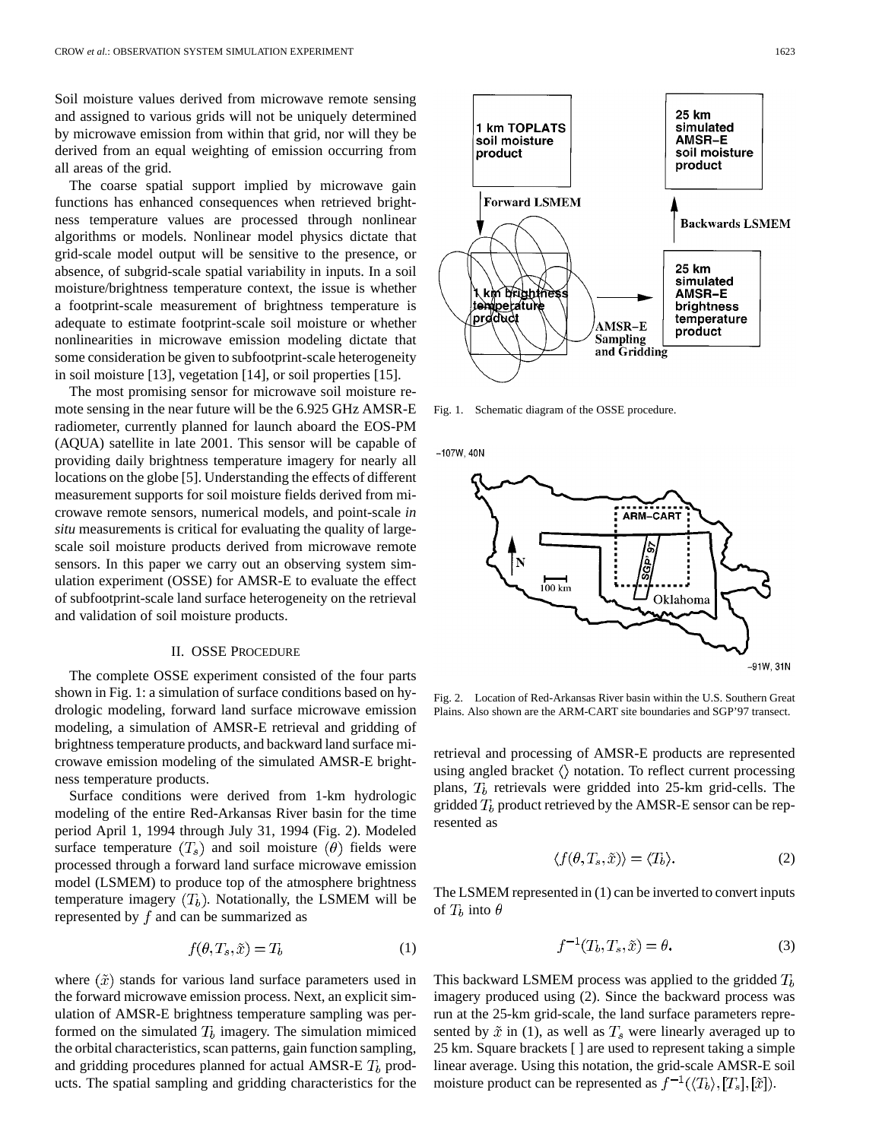Soil moisture values derived from microwave remote sensing and assigned to various grids will not be uniquely determined by microwave emission from within that grid, nor will they be derived from an equal weighting of emission occurring from all areas of the grid.

The coarse spatial support implied by microwave gain functions has enhanced consequences when retrieved brightness temperature values are processed through nonlinear algorithms or models. Nonlinear model physics dictate that grid-scale model output will be sensitive to the presence, or absence, of subgrid-scale spatial variability in inputs. In a soil moisture/brightness temperature context, the issue is whether a footprint-scale measurement of brightness temperature is adequate to estimate footprint-scale soil moisture or whether nonlinearities in microwave emission modeling dictate that some consideration be given to subfootprint-scale heterogeneity in soil moisture [13], vegetation [14], or soil properties [15].

The most promising sensor for microwave soil moisture remote sensing in the near future will be the 6.925 GHz AMSR-E radiometer, currently planned for launch aboard the EOS-PM (AQUA) satellite in late 2001. This sensor will be capable of providing daily brightness temperature imagery for nearly all locations on the globe [5]. Understanding the effects of different measurement supports for soil moisture fields derived from microwave remote sensors, numerical models, and point-scale *in situ* measurements is critical for evaluating the quality of largescale soil moisture products derived from microwave remote sensors. In this paper we carry out an observing system simulation experiment (OSSE) for AMSR-E to evaluate the effect of subfootprint-scale land surface heterogeneity on the retrieval and validation of soil moisture products.

#### II. OSSE PROCEDURE

The complete OSSE experiment consisted of the four parts shown in Fig. 1: a simulation of surface conditions based on hydrologic modeling, forward land surface microwave emission modeling, a simulation of AMSR-E retrieval and gridding of brightness temperature products, and backward land surface microwave emission modeling of the simulated AMSR-E brightness temperature products.

Surface conditions were derived from 1-km hydrologic modeling of the entire Red-Arkansas River basin for the time period April 1, 1994 through July 31, 1994 (Fig. 2). Modeled surface temperature  $(T_s)$  and soil moisture  $(\theta)$  fields were processed through a forward land surface microwave emission model (LSMEM) to produce top of the atmosphere brightness temperature imagery  $(T_h)$ . Notationally, the LSMEM will be represented by  $f$  and can be summarized as

$$
f(\theta, T_s, \tilde{x}) = T_b \tag{1}
$$

where  $(\tilde{x})$  stands for various land surface parameters used in the forward microwave emission process. Next, an explicit simulation of AMSR-E brightness temperature sampling was performed on the simulated  $T_b$  imagery. The simulation mimiced the orbital characteristics, scan patterns, gain function sampling, and gridding procedures planned for actual AMSR-E  $T_b$  products. The spatial sampling and gridding characteristics for the



Fig. 1. Schematic diagram of the OSSE procedure.

 $-107W, 40N$ 



Fig. 2. Location of Red-Arkansas River basin within the U.S. Southern Great Plains. Also shown are the ARM-CART site boundaries and SGP'97 transect.

retrieval and processing of AMSR-E products are represented using angled bracket  $\langle \rangle$  notation. To reflect current processing plans,  $T_b$  retrievals were gridded into 25-km grid-cells. The gridded  $T_b$  product retrieved by the AMSR-E sensor can be represented as

$$
\langle f(\theta, T_s, \tilde{x}) \rangle = \langle T_b \rangle. \tag{2}
$$

The LSMEM represented in (1) can be inverted to convert inputs of  $T_b$  into  $\theta$ 

$$
f^{-1}(T_b, T_s, \tilde{x}) = \theta.
$$
 (3)

This backward LSMEM process was applied to the gridded  $T<sub>b</sub>$ imagery produced using (2). Since the backward process was run at the 25-km grid-scale, the land surface parameters represented by  $\tilde{x}$  in (1), as well as  $T_s$  were linearly averaged up to 25 km. Square brackets [ ] are used to represent taking a simple linear average. Using this notation, the grid-scale AMSR-E soil moisture product can be represented as  $f^{-1}(\langle T_b \rangle, [T_s], [\tilde{x}])$ .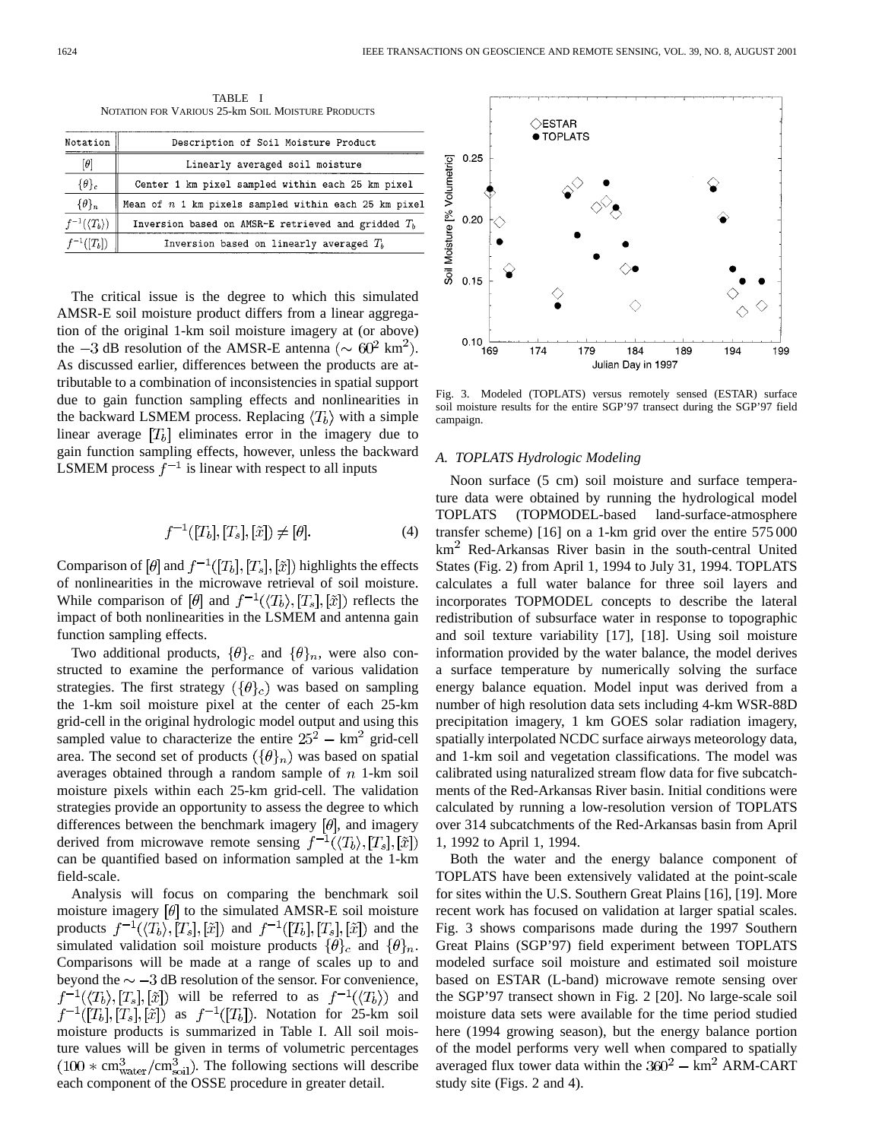TABLE I NOTATION FOR VARIOUS 25-km SOIL MOISTURE PRODUCTS

| Notation                      | Description of Soil Moisture Product                    |
|-------------------------------|---------------------------------------------------------|
| $[\theta]$                    | Linearly averaged soil moisture                         |
| $\{\theta\}_c$                | Center 1 km pixel sampled within each 25 km pixel       |
| $\{\theta\}_n$                | Mean of $n$ 1 km pixels sampled within each 25 km pixel |
| $f^{-1}(\langle T_b \rangle)$ | Inversion based on AMSR-E retrieved and gridded $T_h$   |
| $f^{-1}([T_b])$               | Inversion based on linearly averaged $T_h$              |
|                               |                                                         |

The critical issue is the degree to which this simulated AMSR-E soil moisture product differs from a linear aggregation of the original 1-km soil moisture imagery at (or above) the  $-3$  dB resolution of the AMSR-E antenna ( $\sim 60^2$  km<sup>2</sup>). As discussed earlier, differences between the products are attributable to a combination of inconsistencies in spatial support due to gain function sampling effects and nonlinearities in the backward LSMEM process. Replacing  $\langle T_b \rangle$  with a simple linear average  $[T_b]$  eliminates error in the imagery due to gain function sampling effects, however, unless the backward LSMEM process  $f^{-1}$  is linear with respect to all inputs

$$
f^{-1}([T_b],[T_s],[\tilde{x}]) \neq [\theta].
$$
 (4)

Comparison of [ $\theta$ ] and  $f^{-1}([T_b],[T_s],[\tilde{x}])$  highlights the effects of nonlinearities in the microwave retrieval of soil moisture. While comparison of [ $\theta$ ] and  $f^{-1}(\langle T_b \rangle, [T_s], [\tilde{x}] )$  reflects the impact of both nonlinearities in the LSMEM and antenna gain function sampling effects.

Two additional products,  $\{\theta\}_c$  and  $\{\theta\}_n$ , were also constructed to examine the performance of various validation strategies. The first strategy  $({\lbrace \theta \rbrace_c})$  was based on sampling the 1-km soil moisture pixel at the center of each 25-km grid-cell in the original hydrologic model output and using this sampled value to characterize the entire  $25^2 - km^2$  grid-cell area. The second set of products  $({\theta}_n)$  was based on spatial averages obtained through a random sample of  $n$  1-km soil moisture pixels within each 25-km grid-cell. The validation strategies provide an opportunity to assess the degree to which differences between the benchmark imagery  $[\theta]$ , and imagery derived from microwave remote sensing  $f^{-1}(\langle T_b \rangle, [T_s], [\tilde{x}])$ can be quantified based on information sampled at the 1-km field-scale.

Analysis will focus on comparing the benchmark soil moisture imagery  $\left[\theta\right]$  to the simulated AMSR-E soil moisture products  $f^{-1}(\langle T_b \rangle, [T_s], [\tilde{x}])$  and  $f^{-1}([T_b], [T_s], [\tilde{x}])$  and the simulated validation soil moisture products  $\{\theta\}_c$  and  $\{\theta\}_n$ . Comparisons will be made at a range of scales up to and beyond the  $\sim -3$  dB resolution of the sensor. For convenience,  $f^{-1}(\langle T_b \rangle, [T_s], [\tilde{x}] )$  will be referred to as  $f^{-1}(\langle T_b \rangle)$  and  $f^{-1}([T_b],[T_s],[\tilde{x}])$  as  $f^{-1}([T_b])$ . Notation for 25-km soil moisture products is summarized in Table I. All soil moisture values will be given in terms of volumetric percentages  $(100 * cm<sub>water</sub><sup>3</sup>/cm<sub>soil</sub>)$ . The following sections will describe each component of the OSSE procedure in greater detail.



Fig. 3. Modeled (TOPLATS) versus remotely sensed (ESTAR) surface soil moisture results for the entire SGP'97 transect during the SGP'97 field campaign.

# *A. TOPLATS Hydrologic Modeling*

Noon surface (5 cm) soil moisture and surface temperature data were obtained by running the hydrological model TOPLATS (TOPMODEL-based land-surface-atmosphere transfer scheme) [16] on a 1-km grid over the entire 575 000  $km<sup>2</sup>$  Red-Arkansas River basin in the south-central United States (Fig. 2) from April 1, 1994 to July 31, 1994. TOPLATS calculates a full water balance for three soil layers and incorporates TOPMODEL concepts to describe the lateral redistribution of subsurface water in response to topographic and soil texture variability [17], [18]. Using soil moisture information provided by the water balance, the model derives a surface temperature by numerically solving the surface energy balance equation. Model input was derived from a number of high resolution data sets including 4-km WSR-88D precipitation imagery, 1 km GOES solar radiation imagery, spatially interpolated NCDC surface airways meteorology data, and 1-km soil and vegetation classifications. The model was calibrated using naturalized stream flow data for five subcatchments of the Red-Arkansas River basin. Initial conditions were calculated by running a low-resolution version of TOPLATS over 314 subcatchments of the Red-Arkansas basin from April 1, 1992 to April 1, 1994.

Both the water and the energy balance component of TOPLATS have been extensively validated at the point-scale for sites within the U.S. Southern Great Plains [16], [19]. More recent work has focused on validation at larger spatial scales. Fig. 3 shows comparisons made during the 1997 Southern Great Plains (SGP'97) field experiment between TOPLATS modeled surface soil moisture and estimated soil moisture based on ESTAR (L-band) microwave remote sensing over the SGP'97 transect shown in Fig. 2 [20]. No large-scale soil moisture data sets were available for the time period studied here (1994 growing season), but the energy balance portion of the model performs very well when compared to spatially averaged flux tower data within the  $360^2 - km^2$  ARM-CART study site (Figs. 2 and 4).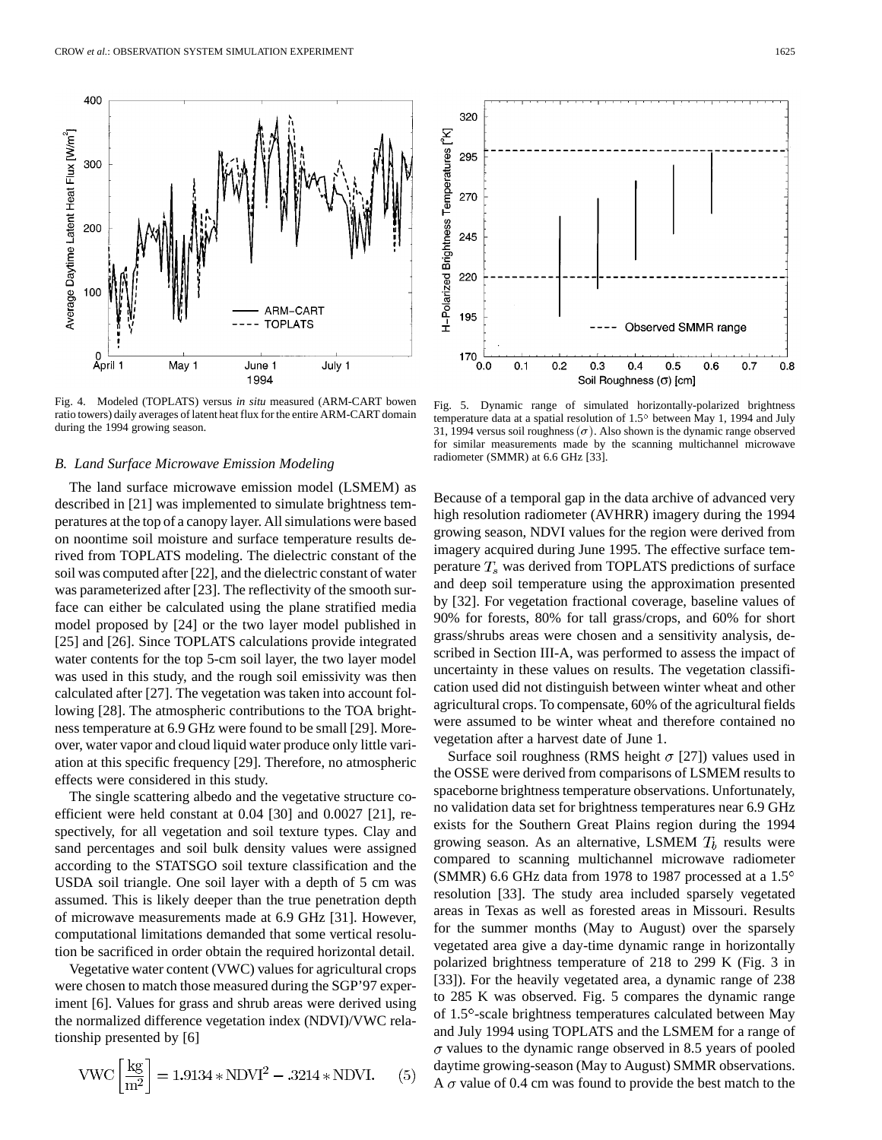400

300

200

Average Daytime Latent Heat Flux [W/m<sup>2</sup>] 00 ARM-CART **TOPLATS** April 1 May 1 June 1 July 1 1994

Fig. 4. Modeled (TOPLATS) versus *in situ* measured (ARM-CART bowen ratio towers) daily averages of latent heat flux for the entire ARM-CART domain during the 1994 growing season.

#### *B. Land Surface Microwave Emission Modeling*

The land surface microwave emission model (LSMEM) as described in [21] was implemented to simulate brightness temperatures at the top of a canopy layer. All simulations were based on noontime soil moisture and surface temperature results derived from TOPLATS modeling. The dielectric constant of the soil was computed after [22], and the dielectric constant of water was parameterized after [23]. The reflectivity of the smooth surface can either be calculated using the plane stratified media model proposed by [24] or the two layer model published in [25] and [26]. Since TOPLATS calculations provide integrated water contents for the top 5-cm soil layer, the two layer model was used in this study, and the rough soil emissivity was then calculated after [27]. The vegetation was taken into account following [28]. The atmospheric contributions to the TOA brightness temperature at 6.9 GHz were found to be small [29]. Moreover, water vapor and cloud liquid water produce only little variation at this specific frequency [29]. Therefore, no atmospheric effects were considered in this study.

The single scattering albedo and the vegetative structure coefficient were held constant at 0.04 [30] and 0.0027 [21], respectively, for all vegetation and soil texture types. Clay and sand percentages and soil bulk density values were assigned according to the STATSGO soil texture classification and the USDA soil triangle. One soil layer with a depth of 5 cm was assumed. This is likely deeper than the true penetration depth of microwave measurements made at 6.9 GHz [31]. However, computational limitations demanded that some vertical resolution be sacrificed in order obtain the required horizontal detail.

Vegetative water content (VWC) values for agricultural crops were chosen to match those measured during the SGP'97 experiment [6]. Values for grass and shrub areas were derived using the normalized difference vegetation index (NDVI)/VWC relationship presented by [6]

$$
VWC \left[ \frac{\text{kg}}{\text{m}^2} \right] = 1.9134 * NDVI^2 - .3214 * NDVI. \quad (5)
$$

Fig. 5. Dynamic range of simulated horizontally-polarized brightness temperature data at a spatial resolution of  $1.5^{\circ}$  between May 1, 1994 and July 31, 1994 versus soil roughness  $(\sigma)$ . Also shown is the dynamic range observed for similar measurements made by the scanning multichannel microwave radiometer (SMMR) at 6.6 GHz [33].

Because of a temporal gap in the data archive of advanced very high resolution radiometer (AVHRR) imagery during the 1994 growing season, NDVI values for the region were derived from imagery acquired during June 1995. The effective surface temperature  $T_s$  was derived from TOPLATS predictions of surface and deep soil temperature using the approximation presented by [32]. For vegetation fractional coverage, baseline values of 90% for forests, 80% for tall grass/crops, and 60% for short grass/shrubs areas were chosen and a sensitivity analysis, described in Section III-A, was performed to assess the impact of uncertainty in these values on results. The vegetation classification used did not distinguish between winter wheat and other agricultural crops. To compensate, 60% of the agricultural fields were assumed to be winter wheat and therefore contained no vegetation after a harvest date of June 1.

Surface soil roughness (RMS height  $\sigma$  [27]) values used in the OSSE were derived from comparisons of LSMEM results to spaceborne brightness temperature observations. Unfortunately, no validation data set for brightness temperatures near 6.9 GHz exists for the Southern Great Plains region during the 1994 growing season. As an alternative, LSMEM  $T_b$  results were compared to scanning multichannel microwave radiometer (SMMR) 6.6 GHz data from 1978 to 1987 processed at a  $1.5^{\circ}$ resolution [33]. The study area included sparsely vegetated areas in Texas as well as forested areas in Missouri. Results for the summer months (May to August) over the sparsely vegetated area give a day-time dynamic range in horizontally polarized brightness temperature of 218 to 299 K (Fig. 3 in [33]). For the heavily vegetated area, a dynamic range of 238 to 285 K was observed. Fig. 5 compares the dynamic range of 1.5°-scale brightness temperatures calculated between May and July 1994 using TOPLATS and the LSMEM for a range of  $\sigma$  values to the dynamic range observed in 8.5 years of pooled daytime growing-season (May to August) SMMR observations. A  $\sigma$  value of 0.4 cm was found to provide the best match to the

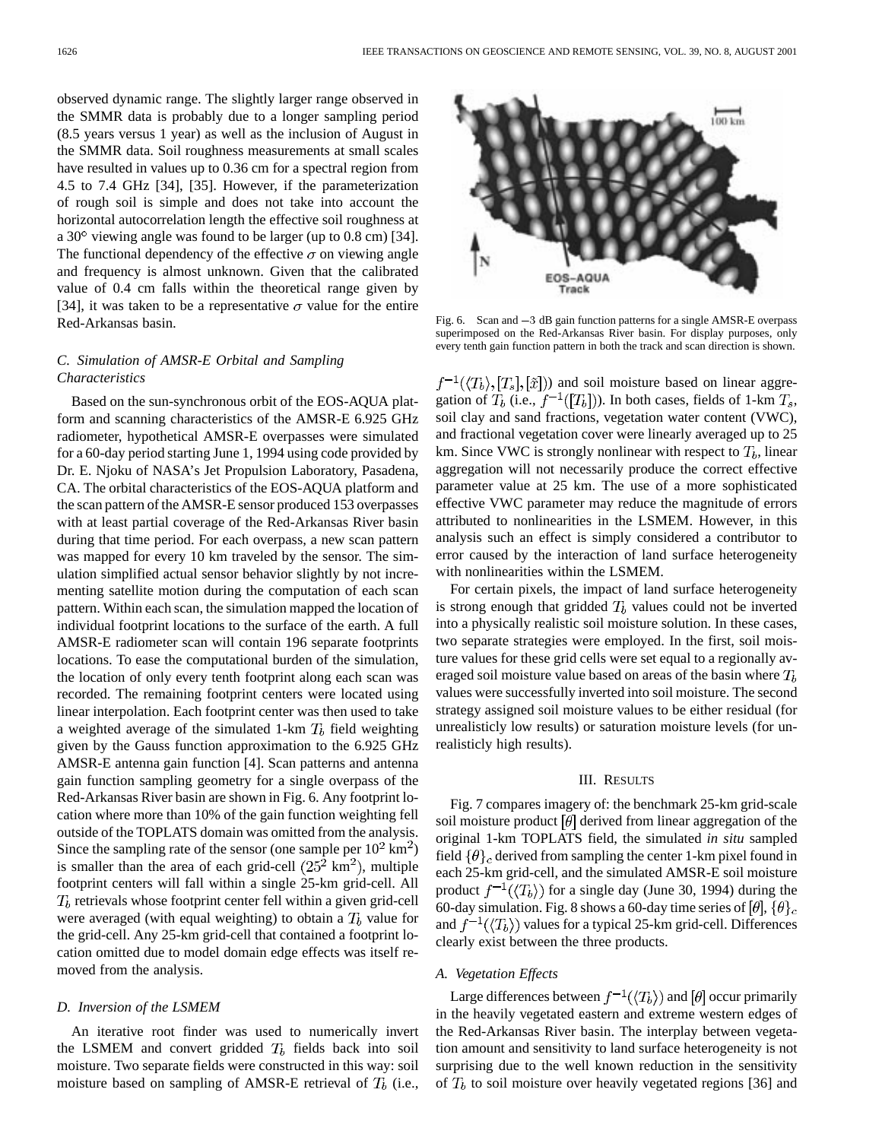observed dynamic range. The slightly larger range observed in the SMMR data is probably due to a longer sampling period (8.5 years versus 1 year) as well as the inclusion of August in the SMMR data. Soil roughness measurements at small scales have resulted in values up to 0.36 cm for a spectral region from 4.5 to 7.4 GHz [34], [35]. However, if the parameterization of rough soil is simple and does not take into account the horizontal autocorrelation length the effective soil roughness at a  $30^{\circ}$  viewing angle was found to be larger (up to 0.8 cm) [34]. The functional dependency of the effective  $\sigma$  on viewing angle and frequency is almost unknown. Given that the calibrated value of 0.4 cm falls within the theoretical range given by [34], it was taken to be a representative  $\sigma$  value for the entire Red-Arkansas basin.

# *C. Simulation of AMSR-E Orbital and Sampling Characteristics*

Based on the sun-synchronous orbit of the EOS-AQUA platform and scanning characteristics of the AMSR-E 6.925 GHz radiometer, hypothetical AMSR-E overpasses were simulated for a 60-day period starting June 1, 1994 using code provided by Dr. E. Njoku of NASA's Jet Propulsion Laboratory, Pasadena, CA. The orbital characteristics of the EOS-AQUA platform and the scan pattern of the AMSR-E sensor produced 153 overpasses with at least partial coverage of the Red-Arkansas River basin during that time period. For each overpass, a new scan pattern was mapped for every 10 km traveled by the sensor. The simulation simplified actual sensor behavior slightly by not incrementing satellite motion during the computation of each scan pattern. Within each scan, the simulation mapped the location of individual footprint locations to the surface of the earth. A full AMSR-E radiometer scan will contain 196 separate footprints locations. To ease the computational burden of the simulation, the location of only every tenth footprint along each scan was recorded. The remaining footprint centers were located using linear interpolation. Each footprint center was then used to take a weighted average of the simulated 1-km  $T_b$  field weighting given by the Gauss function approximation to the 6.925 GHz AMSR-E antenna gain function [4]. Scan patterns and antenna gain function sampling geometry for a single overpass of the Red-Arkansas River basin are shown in Fig. 6. Any footprint location where more than 10% of the gain function weighting fell outside of the TOPLATS domain was omitted from the analysis. Since the sampling rate of the sensor (one sample per  $10^2 \text{ km}^2$ ) is smaller than the area of each grid-cell  $(25^2 \text{ km}^2)$ , multiple footprint centers will fall within a single 25-km grid-cell. All  $T_b$  retrievals whose footprint center fell within a given grid-cell were averaged (with equal weighting) to obtain a  $T<sub>b</sub>$  value for the grid-cell. Any 25-km grid-cell that contained a footprint location omitted due to model domain edge effects was itself removed from the analysis.

#### *D. Inversion of the LSMEM*

An iterative root finder was used to numerically invert the LSMEM and convert gridded  $T_b$  fields back into soil moisture. Two separate fields were constructed in this way: soil moisture based on sampling of AMSR-E retrieval of  $T_b$  (i.e.,



superimposed on the Red-Arkansas River basin. For display purposes, only every tenth gain function pattern in both the track and scan direction is shown.

 $f^{-1}(\langle T_b \rangle, [T_s], [\tilde{x}])$  and soil moisture based on linear aggregation of  $T_b$  (i.e.,  $f^{-1}([T_b])$ ). In both cases, fields of 1-km  $T_s$ , soil clay and sand fractions, vegetation water content (VWC), and fractional vegetation cover were linearly averaged up to 25 km. Since VWC is strongly nonlinear with respect to  $T_b$ , linear aggregation will not necessarily produce the correct effective parameter value at 25 km. The use of a more sophisticated effective VWC parameter may reduce the magnitude of errors attributed to nonlinearities in the LSMEM. However, in this analysis such an effect is simply considered a contributor to error caused by the interaction of land surface heterogeneity with nonlinearities within the LSMEM.

For certain pixels, the impact of land surface heterogeneity is strong enough that gridded  $T<sub>b</sub>$  values could not be inverted into a physically realistic soil moisture solution. In these cases, two separate strategies were employed. In the first, soil moisture values for these grid cells were set equal to a regionally averaged soil moisture value based on areas of the basin where  $T<sub>b</sub>$ values were successfully inverted into soil moisture. The second strategy assigned soil moisture values to be either residual (for unrealisticly low results) or saturation moisture levels (for unrealisticly high results).

#### III. RESULTS

Fig. 7 compares imagery of: the benchmark 25-km grid-scale soil moisture product  $[\theta]$  derived from linear aggregation of the original 1-km TOPLATS field, the simulated *in situ* sampled field  $\{\theta\}_c$  derived from sampling the center 1-km pixel found in each 25-km grid-cell, and the simulated AMSR-E soil moisture product  $f^{-1}(\langle T_b \rangle)$  for a single day (June 30, 1994) during the 60-day simulation. Fig. 8 shows a 60-day time series of  $[\theta]$ ,  $\{\theta\}_c$ and  $f^{-1}(\langle T_b \rangle)$  values for a typical 25-km grid-cell. Differences clearly exist between the three products.

#### *A. Vegetation Effects*

Large differences between  $f^{-1}(\langle T_b \rangle)$  and  $[\theta]$  occur primarily in the heavily vegetated eastern and extreme western edges of the Red-Arkansas River basin. The interplay between vegetation amount and sensitivity to land surface heterogeneity is not surprising due to the well known reduction in the sensitivity of  $T_b$  to soil moisture over heavily vegetated regions [36] and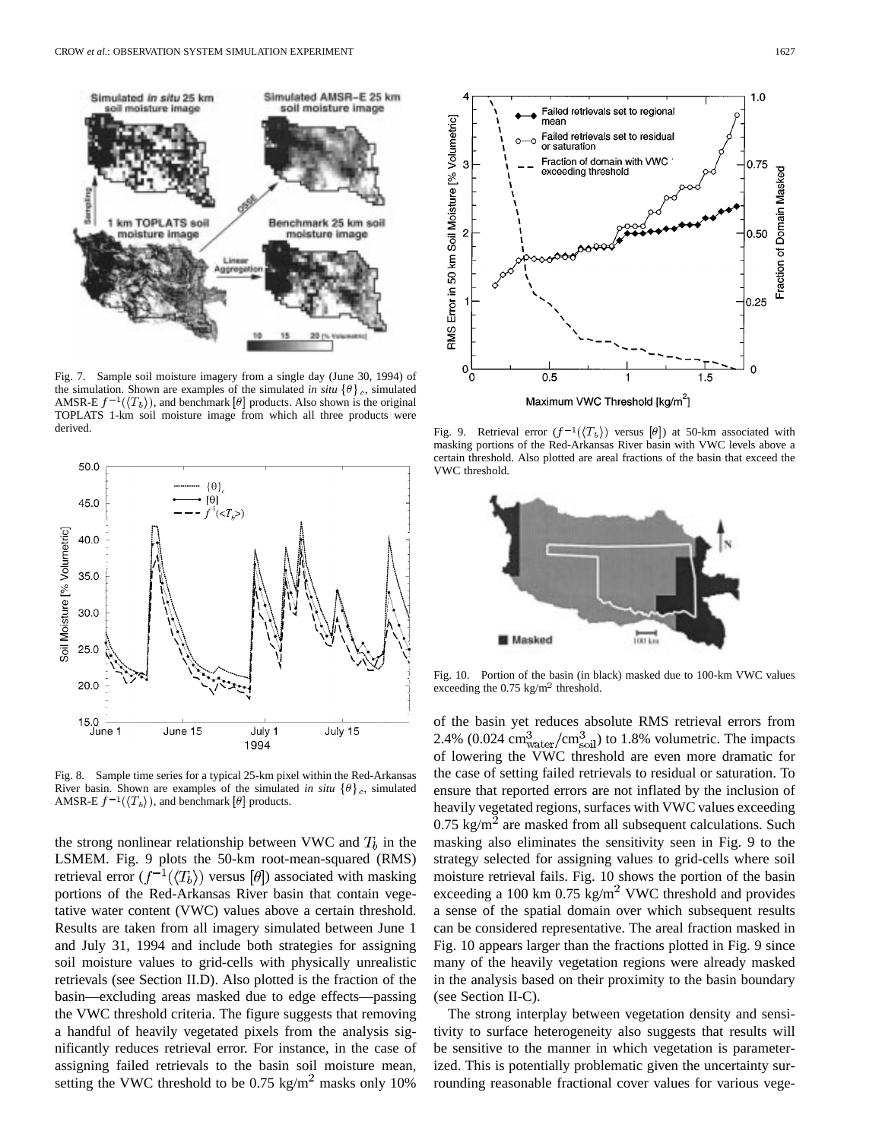

Fig. 7. Sample soil moisture imagery from a single day (June 30, 1994) of the simulation. Shown are examples of the simulated *in situ*  $\{\theta\}_c$ , simulated AMSR-E  $f^{-1}(\langle T_b \rangle)$ , and benchmark [ $\theta$ ] products. Also shown is the original TOPLATS 1-km soil moisture image from which all three products were derived.



Fig. 8. Sample time series for a typical 25-km pixel within the Red-Arkansas River basin. Shown are examples of the simulated *in situ*  $\{\theta\}_c$ , simulated AMSR-E  $f^{-1}(\langle T_b \rangle)$ , and benchmark [ $\theta$ ] products.

the strong nonlinear relationship between VWC and  $T_b$  in the LSMEM. Fig. 9 plots the 50-km root-mean-squared (RMS) retrieval error  $(f^{-1}(\langle T_b \rangle))$  versus [ $\theta$ ]) associated with masking portions of the Red-Arkansas River basin that contain vegetative water content (VWC) values above a certain threshold. Results are taken from all imagery simulated between June 1 and July 31, 1994 and include both strategies for assigning soil moisture values to grid-cells with physically unrealistic retrievals (see Section II.D). Also plotted is the fraction of the basin—excluding areas masked due to edge effects—passing the VWC threshold criteria. The figure suggests that removing a handful of heavily vegetated pixels from the analysis significantly reduces retrieval error. For instance, in the case of assigning failed retrievals to the basin soil moisture mean, setting the VWC threshold to be  $0.75 \text{ kg/m}^2$  masks only 10%



Maximum VWC Threshold [kg/m<sup>2</sup>]

Fig. 9. Retrieval error  $(f^{-1}(\langle T_b \rangle))$  versus  $[\theta]$ ) at 50-km associated with masking portions of the Red-Arkansas River basin with VWC levels above a certain threshold. Also plotted are areal fractions of the basin that exceed the VWC threshold.



Fig. 10. Portion of the basin (in black) masked due to 100-km VWC values exceeding the  $0.75 \text{ kg/m}^2$  threshold.

of the basin yet reduces absolute RMS retrieval errors from 2.4% (0.024  $\text{cm}^3_{\text{water}}/\text{cm}^3_{\text{soil}}$ ) to 1.8% volumetric. The impacts of lowering the VWC threshold are even more dramatic for the case of setting failed retrievals to residual or saturation. To ensure that reported errors are not inflated by the inclusion of heavily vegetated regions, surfaces with VWC values exceeding  $0.75 \text{ kg/m}^2$  are masked from all subsequent calculations. Such masking also eliminates the sensitivity seen in Fig. 9 to the strategy selected for assigning values to grid-cells where soil moisture retrieval fails. Fig. 10 shows the portion of the basin exceeding a 100 km  $0.75 \text{ kg/m}^2$  VWC threshold and provides a sense of the spatial domain over which subsequent results can be considered representative. The areal fraction masked in Fig. 10 appears larger than the fractions plotted in Fig. 9 since many of the heavily vegetation regions were already masked in the analysis based on their proximity to the basin boundary (see Section II-C).

The strong interplay between vegetation density and sensitivity to surface heterogeneity also suggests that results will be sensitive to the manner in which vegetation is parameterized. This is potentially problematic given the uncertainty surrounding reasonable fractional cover values for various vege-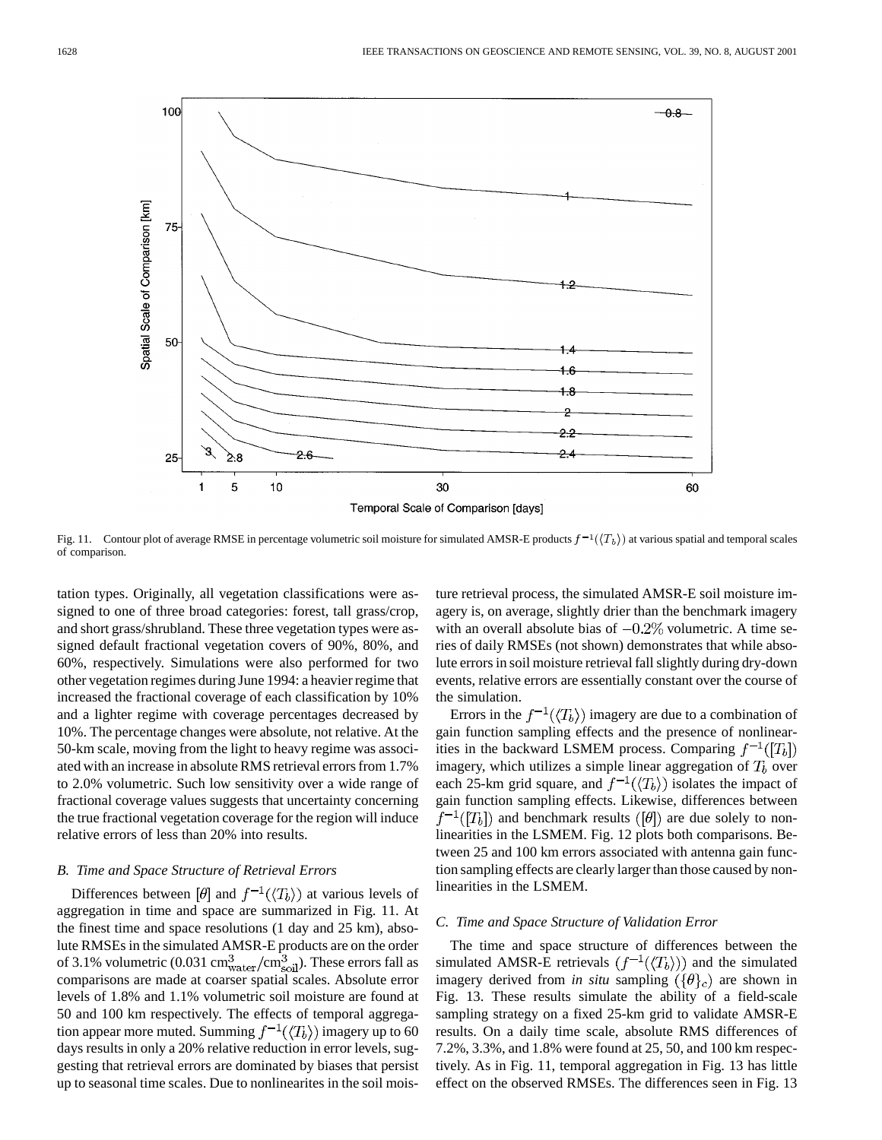

Fig. 11. Contour plot of average RMSE in percentage volumetric soil moisture for simulated AMSR-E products  $f^{-1}(\langle T_b \rangle)$  at various spatial and temporal scales of comparison.

tation types. Originally, all vegetation classifications were assigned to one of three broad categories: forest, tall grass/crop, and short grass/shrubland. These three vegetation types were assigned default fractional vegetation covers of 90%, 80%, and 60%, respectively. Simulations were also performed for two other vegetation regimes during June 1994: a heavier regime that increased the fractional coverage of each classification by 10% and a lighter regime with coverage percentages decreased by 10%. The percentage changes were absolute, not relative. At the 50-km scale, moving from the light to heavy regime was associated with an increase in absolute RMS retrieval errors from 1.7% to 2.0% volumetric. Such low sensitivity over a wide range of fractional coverage values suggests that uncertainty concerning the true fractional vegetation coverage for the region will induce relative errors of less than 20% into results.

# *B. Time and Space Structure of Retrieval Errors*

Differences between  $[\theta]$  and  $f^{-1}(\langle T_b \rangle)$  at various levels of aggregation in time and space are summarized in Fig. 11. At the finest time and space resolutions (1 day and 25 km), absolute RMSEs in the simulated AMSR-E products are on the order of 3.1% volumetric (0.031 cm $_{\text{water}}^3$ /cm $_{\text{soil}}^3$ ). These errors fall as comparisons are made at coarser spatial scales. Absolute error levels of 1.8% and 1.1% volumetric soil moisture are found at 50 and 100 km respectively. The effects of temporal aggregation appear more muted. Summing  $f^{-1}(\langle T_b \rangle)$  imagery up to 60 days results in only a 20% relative reduction in error levels, suggesting that retrieval errors are dominated by biases that persist up to seasonal time scales. Due to nonlinearites in the soil moisture retrieval process, the simulated AMSR-E soil moisture imagery is, on average, slightly drier than the benchmark imagery with an overall absolute bias of  $-0.2\%$  volumetric. A time series of daily RMSEs (not shown) demonstrates that while absolute errors in soil moisture retrieval fall slightly during dry-down events, relative errors are essentially constant over the course of the simulation.

Errors in the  $f^{-1}(\langle T_b \rangle)$  imagery are due to a combination of gain function sampling effects and the presence of nonlinearities in the backward LSMEM process. Comparing  $f^{-1}([T_b])$ imagery, which utilizes a simple linear aggregation of  $T_b$  over each 25-km grid square, and  $f^{-1}(\langle T_b \rangle)$  isolates the impact of gain function sampling effects. Likewise, differences between  $f^{-1}([T_b])$  and benchmark results ([ $\theta$ ]) are due solely to nonlinearities in the LSMEM. Fig. 12 plots both comparisons. Between 25 and 100 km errors associated with antenna gain function sampling effects are clearly larger than those caused by nonlinearities in the LSMEM.

### *C. Time and Space Structure of Validation Error*

The time and space structure of differences between the simulated AMSR-E retrievals  $(f^{-1}(\langle T_b \rangle))$  and the simulated imagery derived from *in situ* sampling  $({\lbrace \theta \rbrace}_c)$  are shown in Fig. 13. These results simulate the ability of a field-scale sampling strategy on a fixed 25-km grid to validate AMSR-E results. On a daily time scale, absolute RMS differences of 7.2%, 3.3%, and 1.8% were found at 25, 50, and 100 km respectively. As in Fig. 11, temporal aggregation in Fig. 13 has little effect on the observed RMSEs. The differences seen in Fig. 13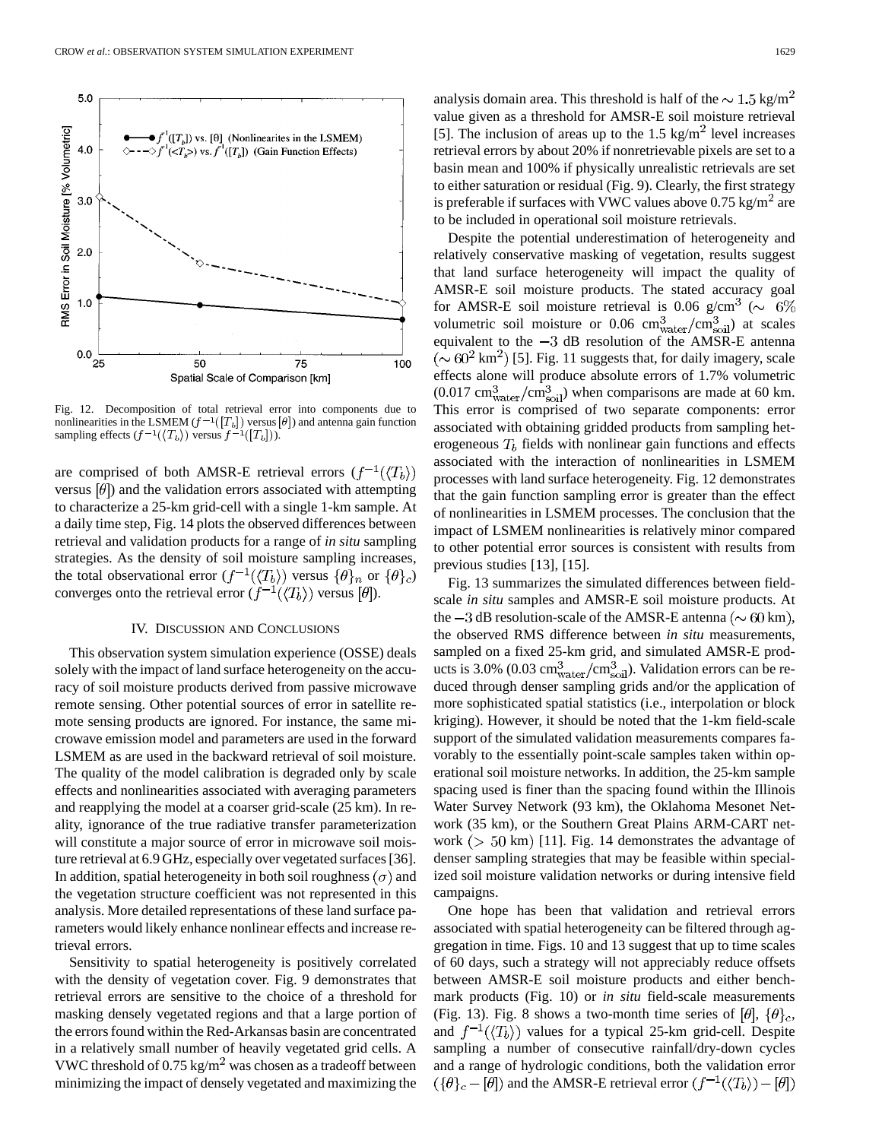

Fig. 12. Decomposition of total retrieval error into components due to nonlinearities in the LSMEM  $(f^{-1}([T_b])$  versus  $[\theta]$ ) and antenna gain function sampling effects  $(f^{-1}(\langle T_b \rangle))$  versus  $f^{-1}([T_b])$ .

are comprised of both AMSR-E retrieval errors  $(f^{-1}(\langle T_b \rangle))$ versus  $[\theta]$ ) and the validation errors associated with attempting to characterize a 25-km grid-cell with a single 1-km sample. At a daily time step, Fig. 14 plots the observed differences between retrieval and validation products for a range of *in situ* sampling strategies. As the density of soil moisture sampling increases, the total observational error  $(f^{-1}(\langle T_b \rangle))$  versus  $\{\theta\}_n$  or  $\{\theta\}_c$ ) converges onto the retrieval error  $(f^{-1}(\langle T_b \rangle))$  versus  $[\theta]$ ).

## IV. DISCUSSION AND CONCLUSIONS

This observation system simulation experience (OSSE) deals solely with the impact of land surface heterogeneity on the accuracy of soil moisture products derived from passive microwave remote sensing. Other potential sources of error in satellite remote sensing products are ignored. For instance, the same microwave emission model and parameters are used in the forward LSMEM as are used in the backward retrieval of soil moisture. The quality of the model calibration is degraded only by scale effects and nonlinearities associated with averaging parameters and reapplying the model at a coarser grid-scale (25 km). In reality, ignorance of the true radiative transfer parameterization will constitute a major source of error in microwave soil moisture retrieval at 6.9 GHz, especially over vegetated surfaces [36]. In addition, spatial heterogeneity in both soil roughness  $(\sigma)$  and the vegetation structure coefficient was not represented in this analysis. More detailed representations of these land surface parameters would likely enhance nonlinear effects and increase retrieval errors.

Sensitivity to spatial heterogeneity is positively correlated with the density of vegetation cover. Fig. 9 demonstrates that retrieval errors are sensitive to the choice of a threshold for masking densely vegetated regions and that a large portion of the errors found within the Red-Arkansas basin are concentrated in a relatively small number of heavily vegetated grid cells. A VWC threshold of  $0.75 \text{ kg/m}^2$  was chosen as a tradeoff between minimizing the impact of densely vegetated and maximizing the analysis domain area. This threshold is half of the  $\sim 1.5 \text{ kg/m}^2$ value given as a threshold for AMSR-E soil moisture retrieval [5]. The inclusion of areas up to the  $1.5 \text{ kg/m}^2$  level increases retrieval errors by about 20% if nonretrievable pixels are set to a basin mean and 100% if physically unrealistic retrievals are set to either saturation or residual (Fig. 9). Clearly, the first strategy is preferable if surfaces with VWC values above  $0.75 \text{ kg/m}^2$  are to be included in operational soil moisture retrievals.

Despite the potential underestimation of heterogeneity and relatively conservative masking of vegetation, results suggest that land surface heterogeneity will impact the quality of AMSR-E soil moisture products. The stated accuracy goal for AMSR-E soil moisture retrieval is 0.06 g/cm<sup>3</sup> ( $\sim 6\%$ ) volumetric soil moisture or 0.06 cm $_{\text{water}}^3$ /cm $_{\text{solid}}^3$ ) at scales equivalent to the  $-3$  dB resolution of the AMSR-E antenna  $(\sim 60^2 \text{ km}^2)$  [5]. Fig. 11 suggests that, for daily imagery, scale effects alone will produce absolute errors of 1.7% volumetric  $(0.017 \text{ cm}^3)$  when comparisons are made at 60 km. This error is comprised of two separate components: error associated with obtaining gridded products from sampling heterogeneous  $T<sub>b</sub>$  fields with nonlinear gain functions and effects associated with the interaction of nonlinearities in LSMEM processes with land surface heterogeneity. Fig. 12 demonstrates that the gain function sampling error is greater than the effect of nonlinearities in LSMEM processes. The conclusion that the impact of LSMEM nonlinearities is relatively minor compared to other potential error sources is consistent with results from previous studies [13], [15].

Fig. 13 summarizes the simulated differences between fieldscale *in situ* samples and AMSR-E soil moisture products. At the  $-3$  dB resolution-scale of the AMSR-E antenna ( $\sim 60$  km), the observed RMS difference between *in situ* measurements, sampled on a fixed 25-km grid, and simulated AMSR-E products is 3.0% (0.03 cm $_{\text{water}}^3/\text{cm}_{\text{solid}}^3$ ). Validation errors can be reduced through denser sampling grids and/or the application of more sophisticated spatial statistics (i.e., interpolation or block kriging). However, it should be noted that the 1-km field-scale support of the simulated validation measurements compares favorably to the essentially point-scale samples taken within operational soil moisture networks. In addition, the 25-km sample spacing used is finer than the spacing found within the Illinois Water Survey Network (93 km), the Oklahoma Mesonet Network (35 km), or the Southern Great Plains ARM-CART network ( $> 50$  km) [11]. Fig. 14 demonstrates the advantage of denser sampling strategies that may be feasible within specialized soil moisture validation networks or during intensive field campaigns.

One hope has been that validation and retrieval errors associated with spatial heterogeneity can be filtered through aggregation in time. Figs. 10 and 13 suggest that up to time scales of 60 days, such a strategy will not appreciably reduce offsets between AMSR-E soil moisture products and either benchmark products (Fig. 10) or *in situ* field-scale measurements (Fig. 13). Fig. 8 shows a two-month time series of  $[\theta]$ ,  $\{\theta\}_c$ , and  $f^{-1}(\langle T_b \rangle)$  values for a typical 25-km grid-cell. Despite sampling a number of consecutive rainfall/dry-down cycles and a range of hydrologic conditions, both the validation error  $(\{\theta\}_c - [\theta])$  and the AMSR-E retrieval error  $(f^{-1}(\langle T_b \rangle) - [\theta])$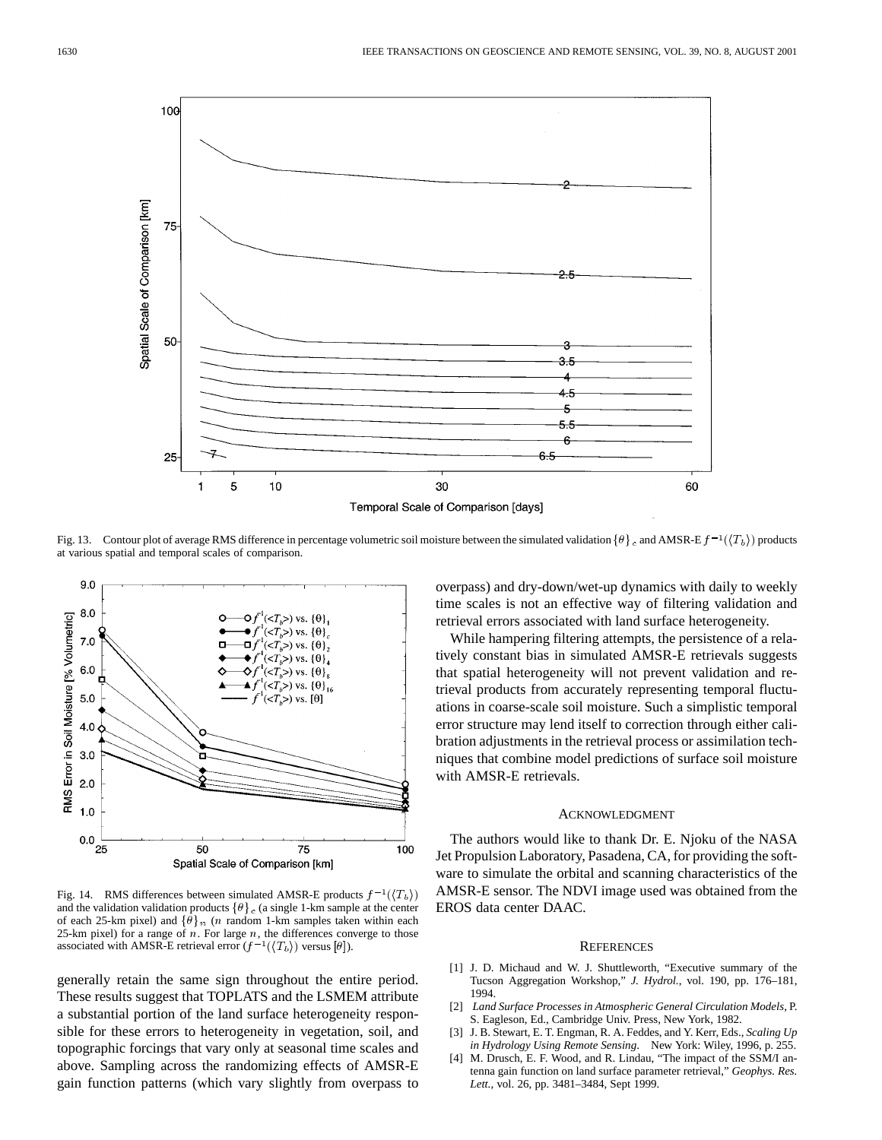

Fig. 13. Contour plot of average RMS difference in percentage volumetric soil moisture between the simulated validation  $\{\theta\}_c$  and AMSR-E  $f^{-1}(\langle T_b \rangle)$  products at various spatial and temporal scales of comparison.



Fig. 14. RMS differences between simulated AMSR-E products  $f^{-1}(\langle T_b \rangle)$ and the validation validation products  $\{\theta\}_c$  (a single 1-km sample at the center of each 25-km pixel) and  $\{\theta\}_n$  (n random 1-km samples taken within each 25-km pixel) for a range of  $n$ . For large  $n$ , the differences converge to those associated with AMSR-E retrieval error  $(f^{-1}(\langle T_b \rangle))$  versus  $[\theta]$ ).

generally retain the same sign throughout the entire period. These results suggest that TOPLATS and the LSMEM attribute a substantial portion of the land surface heterogeneity responsible for these errors to heterogeneity in vegetation, soil, and topographic forcings that vary only at seasonal time scales and above. Sampling across the randomizing effects of AMSR-E gain function patterns (which vary slightly from overpass to overpass) and dry-down/wet-up dynamics with daily to weekly time scales is not an effective way of filtering validation and retrieval errors associated with land surface heterogeneity.

While hampering filtering attempts, the persistence of a relatively constant bias in simulated AMSR-E retrievals suggests that spatial heterogeneity will not prevent validation and retrieval products from accurately representing temporal fluctuations in coarse-scale soil moisture. Such a simplistic temporal error structure may lend itself to correction through either calibration adjustments in the retrieval process or assimilation techniques that combine model predictions of surface soil moisture with AMSR-E retrievals.

# ACKNOWLEDGMENT

The authors would like to thank Dr. E. Njoku of the NASA Jet Propulsion Laboratory, Pasadena, CA, for providing the software to simulate the orbital and scanning characteristics of the AMSR-E sensor. The NDVI image used was obtained from the EROS data center DAAC.

#### **REFERENCES**

- [1] J. D. Michaud and W. J. Shuttleworth, "Executive summary of the Tucson Aggregation Workshop," *J. Hydrol.*, vol. 190, pp. 176–181, 1994.
- [2] *Land Surface Processes in Atmospheric General Circulation Models*, P. S. Eagleson, Ed., Cambridge Univ. Press, New York, 1982.
- [3] J. B. Stewart, E. T. Engman, R. A. Feddes, and Y. Kerr, Eds., *Scaling Up in Hydrology Using Remote Sensing*. New York: Wiley, 1996, p. 255.
- [4] M. Drusch, E. F. Wood, and R. Lindau, "The impact of the SSM/I antenna gain function on land surface parameter retrieval," *Geophys. Res. Lett.*, vol. 26, pp. 3481–3484, Sept 1999.